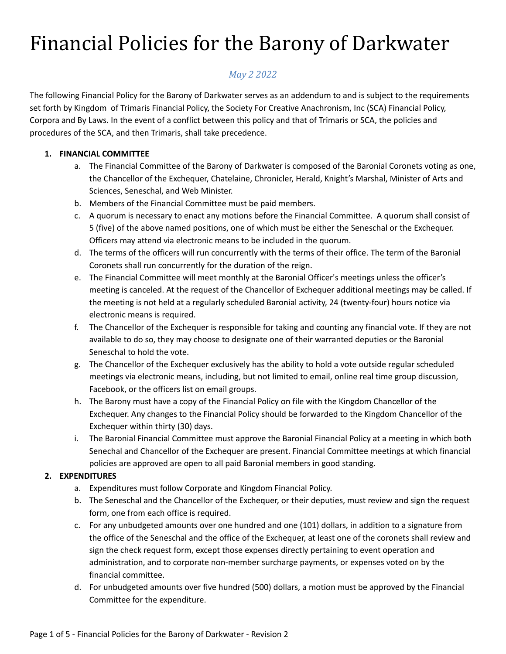# Financial Policies for the Barony of Darkwater

## *May 2 2022*

The following Financial Policy for the Barony of Darkwater serves as an addendum to and is subject to the requirements set forth by Kingdom of Trimaris Financial Policy, the Society For Creative Anachronism, Inc (SCA) Financial Policy, Corpora and By Laws. In the event of a conflict between this policy and that of Trimaris or SCA, the policies and procedures of the SCA, and then Trimaris, shall take precedence.

### **1. FINANCIAL COMMITTEE**

- a. The Financial Committee of the Barony of Darkwater is composed of the Baronial Coronets voting as one, the Chancellor of the Exchequer, Chatelaine, Chronicler, Herald, Knight's Marshal, Minister of Arts and Sciences, Seneschal, and Web Minister.
- b. Members of the Financial Committee must be paid members.
- c. A quorum is necessary to enact any motions before the Financial Committee. A quorum shall consist of 5 (five) of the above named positions, one of which must be either the Seneschal or the Exchequer. Officers may attend via electronic means to be included in the quorum.
- d. The terms of the officers will run concurrently with the terms of their office. The term of the Baronial Coronets shall run concurrently for the duration of the reign.
- e. The Financial Committee will meet monthly at the Baronial Officer's meetings unless the officer's meeting is canceled. At the request of the Chancellor of Exchequer additional meetings may be called. If the meeting is not held at a regularly scheduled Baronial activity, 24 (twenty-four) hours notice via electronic means is required.
- f. The Chancellor of the Exchequer is responsible for taking and counting any financial vote. If they are not available to do so, they may choose to designate one of their warranted deputies or the Baronial Seneschal to hold the vote.
- g. The Chancellor of the Exchequer exclusively has the ability to hold a vote outside regular scheduled meetings via electronic means, including, but not limited to email, online real time group discussion, Facebook, or the officers list on email groups.
- h. The Barony must have a copy of the Financial Policy on file with the Kingdom Chancellor of the Exchequer. Any changes to the Financial Policy should be forwarded to the Kingdom Chancellor of the Exchequer within thirty (30) days.
- i. The Baronial Financial Committee must approve the Baronial Financial Policy at a meeting in which both Senechal and Chancellor of the Exchequer are present. Financial Committee meetings at which financial policies are approved are open to all paid Baronial members in good standing.

#### **2. EXPENDITURES**

- a. Expenditures must follow Corporate and Kingdom Financial Policy.
- b. The Seneschal and the Chancellor of the Exchequer, or their deputies, must review and sign the request form, one from each office is required.
- c. For any unbudgeted amounts over one hundred and one (101) dollars, in addition to a signature from the office of the Seneschal and the office of the Exchequer, at least one of the coronets shall review and sign the check request form, except those expenses directly pertaining to event operation and administration, and to corporate non-member surcharge payments, or expenses voted on by the financial committee.
- d. For unbudgeted amounts over five hundred (500) dollars, a motion must be approved by the Financial Committee for the expenditure.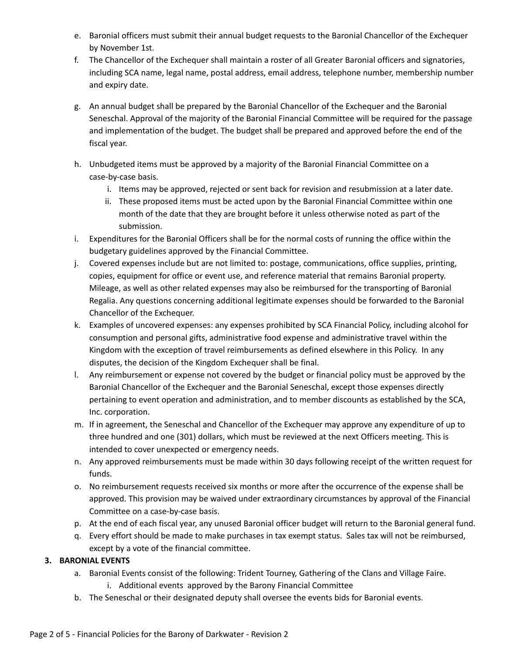- e. Baronial officers must submit their annual budget requests to the Baronial Chancellor of the Exchequer by November 1st.
- f. The Chancellor of the Exchequer shall maintain a roster of all Greater Baronial officers and signatories, including SCA name, legal name, postal address, email address, telephone number, membership number and expiry date.
- g. An annual budget shall be prepared by the Baronial Chancellor of the Exchequer and the Baronial Seneschal. Approval of the majority of the Baronial Financial Committee will be required for the passage and implementation of the budget. The budget shall be prepared and approved before the end of the fiscal year.
- h. Unbudgeted items must be approved by a majority of the Baronial Financial Committee on a case-by-case basis.
	- i. Items may be approved, rejected or sent back for revision and resubmission at a later date.
	- ii. These proposed items must be acted upon by the Baronial Financial Committee within one month of the date that they are brought before it unless otherwise noted as part of the submission.
- i. Expenditures for the Baronial Officers shall be for the normal costs of running the office within the budgetary guidelines approved by the Financial Committee.
- j. Covered expenses include but are not limited to: postage, communications, office supplies, printing, copies, equipment for office or event use, and reference material that remains Baronial property. Mileage, as well as other related expenses may also be reimbursed for the transporting of Baronial Regalia. Any questions concerning additional legitimate expenses should be forwarded to the Baronial Chancellor of the Exchequer.
- k. Examples of uncovered expenses: any expenses prohibited by SCA Financial Policy, including alcohol for consumption and personal gifts, administrative food expense and administrative travel within the Kingdom with the exception of travel reimbursements as defined elsewhere in this Policy. In any disputes, the decision of the Kingdom Exchequer shall be final.
- l. Any reimbursement or expense not covered by the budget or financial policy must be approved by the Baronial Chancellor of the Exchequer and the Baronial Seneschal, except those expenses directly pertaining to event operation and administration, and to member discounts as established by the SCA, Inc. corporation.
- m. If in agreement, the Seneschal and Chancellor of the Exchequer may approve any expenditure of up to three hundred and one (301) dollars, which must be reviewed at the next Officers meeting. This is intended to cover unexpected or emergency needs.
- n. Any approved reimbursements must be made within 30 days following receipt of the written request for funds.
- o. No reimbursement requests received six months or more after the occurrence of the expense shall be approved. This provision may be waived under extraordinary circumstances by approval of the Financial Committee on a case-by-case basis.
- p. At the end of each fiscal year, any unused Baronial officer budget will return to the Baronial general fund.
- q. Every effort should be made to make purchases in tax exempt status. Sales tax will not be reimbursed, except by a vote of the financial committee.

#### **3. BARONIAL EVENTS**

- a. Baronial Events consist of the following: Trident Tourney, Gathering of the Clans and Village Faire. i. Additional events approved by the Barony Financial Committee
- b. The Seneschal or their designated deputy shall oversee the events bids for Baronial events.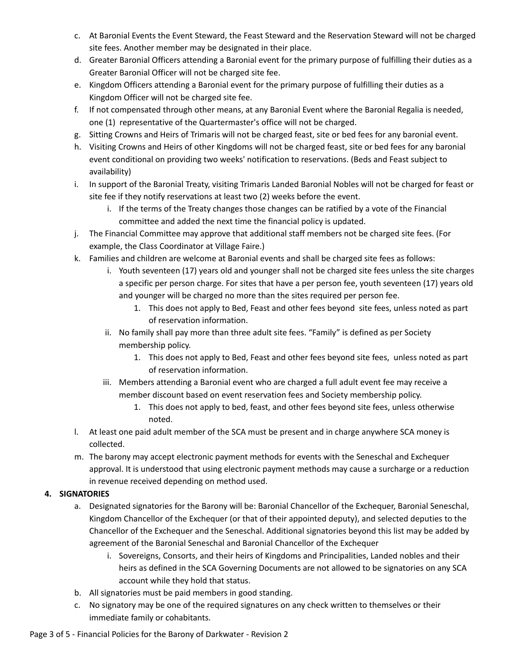- c. At Baronial Events the Event Steward, the Feast Steward and the Reservation Steward will not be charged site fees. Another member may be designated in their place.
- d. Greater Baronial Officers attending a Baronial event for the primary purpose of fulfilling their duties as a Greater Baronial Officer will not be charged site fee.
- e. Kingdom Officers attending a Baronial event for the primary purpose of fulfilling their duties as a Kingdom Officer will not be charged site fee.
- f. If not compensated through other means, at any Baronial Event where the Baronial Regalia is needed, one (1) representative of the Quartermaster's office will not be charged.
- g. Sitting Crowns and Heirs of Trimaris will not be charged feast, site or bed fees for any baronial event.
- h. Visiting Crowns and Heirs of other Kingdoms will not be charged feast, site or bed fees for any baronial event conditional on providing two weeks' notification to reservations. (Beds and Feast subject to availability)
- i. In support of the Baronial Treaty, visiting Trimaris Landed Baronial Nobles will not be charged for feast or site fee if they notify reservations at least two (2) weeks before the event.
	- i. If the terms of the Treaty changes those changes can be ratified by a vote of the Financial committee and added the next time the financial policy is updated.
- j. The Financial Committee may approve that additional staff members not be charged site fees. (For example, the Class Coordinator at Village Faire.)
- k. Families and children are welcome at Baronial events and shall be charged site fees as follows:
	- i. Youth seventeen (17) years old and younger shall not be charged site fees unless the site charges a specific per person charge. For sites that have a per person fee, youth seventeen (17) years old and younger will be charged no more than the sites required per person fee.
		- 1. This does not apply to Bed, Feast and other fees beyond site fees, unless noted as part of reservation information.
	- ii. No family shall pay more than three adult site fees. "Family" is defined as per Society membership policy.
		- 1. This does not apply to Bed, Feast and other fees beyond site fees, unless noted as part of reservation information.
	- iii. Members attending a Baronial event who are charged a full adult event fee may receive a member discount based on event reservation fees and Society membership policy.
		- 1. This does not apply to bed, feast, and other fees beyond site fees, unless otherwise noted.
- l. At least one paid adult member of the SCA must be present and in charge anywhere SCA money is collected.
- m. The barony may accept electronic payment methods for events with the Seneschal and Exchequer approval. It is understood that using electronic payment methods may cause a surcharge or a reduction in revenue received depending on method used.

#### **4. SIGNATORIES**

- a. Designated signatories for the Barony will be: Baronial Chancellor of the Exchequer, Baronial Seneschal, Kingdom Chancellor of the Exchequer (or that of their appointed deputy), and selected deputies to the Chancellor of the Exchequer and the Seneschal. Additional signatories beyond this list may be added by agreement of the Baronial Seneschal and Baronial Chancellor of the Exchequer
	- i. Sovereigns, Consorts, and their heirs of Kingdoms and Principalities, Landed nobles and their heirs as defined in the SCA Governing Documents are not allowed to be signatories on any SCA account while they hold that status.
- b. All signatories must be paid members in good standing.
- c. No signatory may be one of the required signatures on any check written to themselves or their immediate family or cohabitants.

#### Page 3 of 5 - Financial Policies for the Barony of Darkwater - Revision 2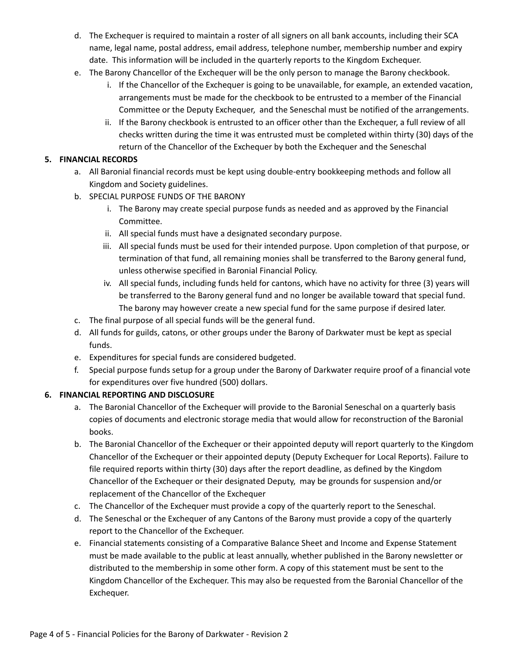- d. The Exchequer is required to maintain a roster of all signers on all bank accounts, including their SCA name, legal name, postal address, email address, telephone number, membership number and expiry date. This information will be included in the quarterly reports to the Kingdom Exchequer.
- e. The Barony Chancellor of the Exchequer will be the only person to manage the Barony checkbook.
	- i. If the Chancellor of the Exchequer is going to be unavailable, for example, an extended vacation, arrangements must be made for the checkbook to be entrusted to a member of the Financial Committee or the Deputy Exchequer, and the Seneschal must be notified of the arrangements.
	- ii. If the Barony checkbook is entrusted to an officer other than the Exchequer, a full review of all checks written during the time it was entrusted must be completed within thirty (30) days of the return of the Chancellor of the Exchequer by both the Exchequer and the Seneschal

#### **5. FINANCIAL RECORDS**

- a. All Baronial financial records must be kept using double-entry bookkeeping methods and follow all Kingdom and Society guidelines.
- b. SPECIAL PURPOSE FUNDS OF THE BARONY
	- i. The Barony may create special purpose funds as needed and as approved by the Financial Committee.
	- ii. All special funds must have a designated secondary purpose.
	- iii. All special funds must be used for their intended purpose. Upon completion of that purpose, or termination of that fund, all remaining monies shall be transferred to the Barony general fund, unless otherwise specified in Baronial Financial Policy.
	- iv. All special funds, including funds held for cantons, which have no activity for three (3) years will be transferred to the Barony general fund and no longer be available toward that special fund. The barony may however create a new special fund for the same purpose if desired later.
- c. The final purpose of all special funds will be the general fund.
- d. All funds for guilds, catons, or other groups under the Barony of Darkwater must be kept as special funds.
- e. Expenditures for special funds are considered budgeted.
- f. Special purpose funds setup for a group under the Barony of Darkwater require proof of a financial vote for expenditures over five hundred (500) dollars.

#### **6. FINANCIAL REPORTING AND DISCLOSURE**

- a. The Baronial Chancellor of the Exchequer will provide to the Baronial Seneschal on a quarterly basis copies of documents and electronic storage media that would allow for reconstruction of the Baronial books.
- b. The Baronial Chancellor of the Exchequer or their appointed deputy will report quarterly to the Kingdom Chancellor of the Exchequer or their appointed deputy (Deputy Exchequer for Local Reports). Failure to file required reports within thirty (30) days after the report deadline, as defined by the Kingdom Chancellor of the Exchequer or their designated Deputy, may be grounds for suspension and/or replacement of the Chancellor of the Exchequer
- c. The Chancellor of the Exchequer must provide a copy of the quarterly report to the Seneschal.
- d. The Seneschal or the Exchequer of any Cantons of the Barony must provide a copy of the quarterly report to the Chancellor of the Exchequer.
- e. Financial statements consisting of a Comparative Balance Sheet and Income and Expense Statement must be made available to the public at least annually, whether published in the Barony newsletter or distributed to the membership in some other form. A copy of this statement must be sent to the Kingdom Chancellor of the Exchequer. This may also be requested from the Baronial Chancellor of the Exchequer.